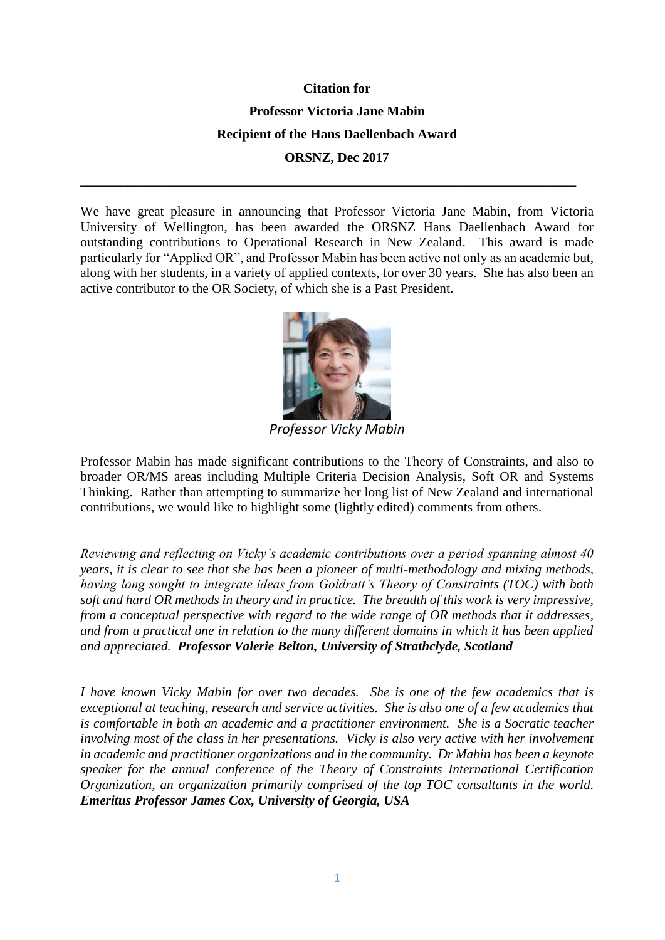## **Citation for**

**Professor Victoria Jane Mabin**

**Recipient of the Hans Daellenbach Award**

**ORSNZ, Dec 2017**

**\_\_\_\_\_\_\_\_\_\_\_\_\_\_\_\_\_\_\_\_\_\_\_\_\_\_\_\_\_\_\_\_\_\_\_\_\_\_\_\_\_\_\_\_\_\_\_\_\_\_\_\_\_\_\_\_\_\_\_\_\_\_\_\_\_\_\_\_\_\_\_\_\_\_**

We have great pleasure in announcing that Professor Victoria Jane Mabin, from Victoria University of Wellington, has been awarded the ORSNZ Hans Daellenbach Award for outstanding contributions to Operational Research in New Zealand. This award is made particularly for "Applied OR", and Professor Mabin has been active not only as an academic but, along with her students, in a variety of applied contexts, for over 30 years. She has also been an active contributor to the OR Society, of which she is a Past President.



*Professor Vicky Mabin*

Professor Mabin has made significant contributions to the Theory of Constraints, and also to broader OR/MS areas including Multiple Criteria Decision Analysis, Soft OR and Systems Thinking. Rather than attempting to summarize her long list of New Zealand and international contributions, we would like to highlight some (lightly edited) comments from others.

*Reviewing and reflecting on Vicky's academic contributions over a period spanning almost 40 years, it is clear to see that she has been a pioneer of multi-methodology and mixing methods, having long sought to integrate ideas from Goldratt's Theory of Constraints (TOC) with both soft and hard OR methods in theory and in practice. The breadth of this work is very impressive, from a conceptual perspective with regard to the wide range of OR methods that it addresses, and from a practical one in relation to the many different domains in which it has been applied and appreciated. Professor Valerie Belton, University of Strathclyde, Scotland*

*I have known Vicky Mabin for over two decades. She is one of the few academics that is exceptional at teaching, research and service activities. She is also one of a few academics that is comfortable in both an academic and a practitioner environment. She is a Socratic teacher involving most of the class in her presentations. Vicky is also very active with her involvement in academic and practitioner organizations and in the community. Dr Mabin has been a keynote speaker for the annual conference of the Theory of Constraints International Certification Organization, an organization primarily comprised of the top TOC consultants in the world. Emeritus Professor James Cox, University of Georgia, USA*